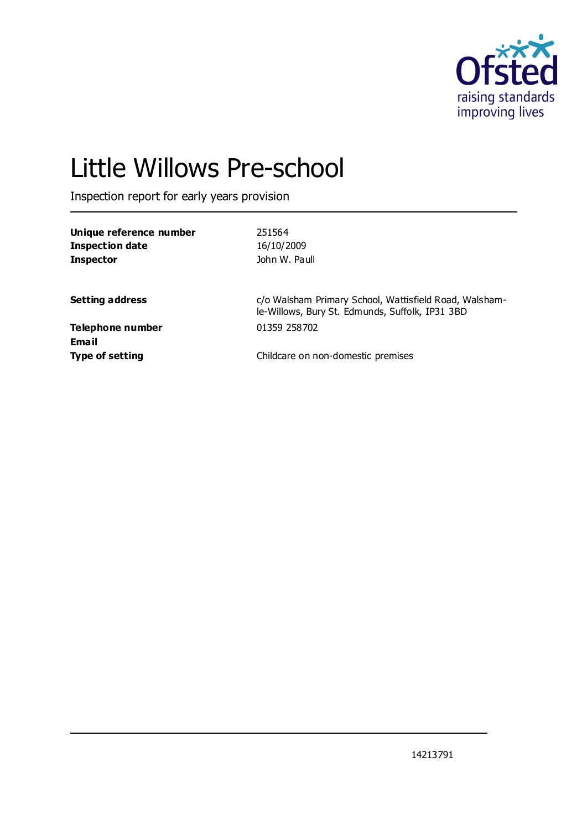

# Little Willows Pre-school

Inspection report for early years provision

| Unique reference number | 251564                                                                                                    |
|-------------------------|-----------------------------------------------------------------------------------------------------------|
| Inspection date         | 16/10/2009                                                                                                |
| <b>Inspector</b>        | John W. Paull                                                                                             |
|                         |                                                                                                           |
| <b>Setting address</b>  | c/o Walsham Primary School, Wattisfield Road, Walsham-<br>le-Willows, Bury St. Edmunds, Suffolk, IP31 3BD |
| Telephone number        | 01359 258702                                                                                              |
| Email                   |                                                                                                           |
| <b>Type of setting</b>  | Childcare on non-domestic premises                                                                        |
|                         |                                                                                                           |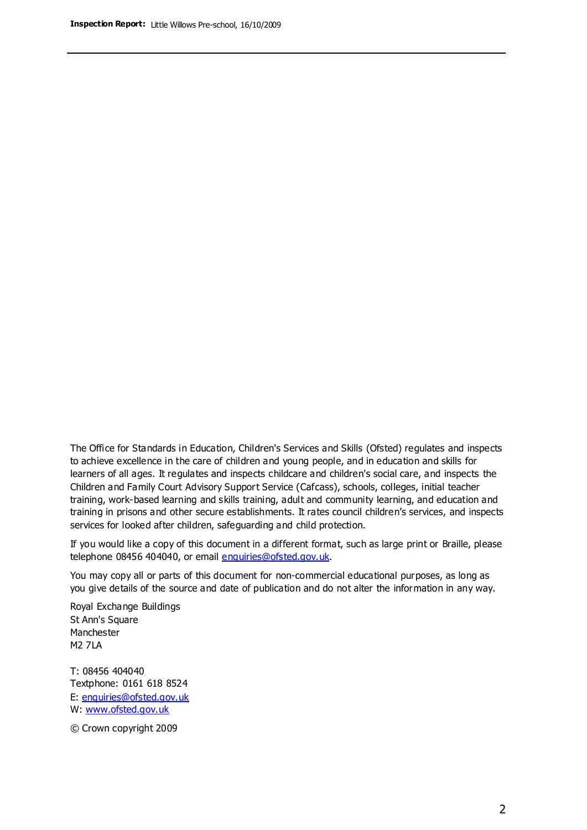The Office for Standards in Education, Children's Services and Skills (Ofsted) regulates and inspects to achieve excellence in the care of children and young people, and in education and skills for learners of all ages. It regulates and inspects childcare and children's social care, and inspects the Children and Family Court Advisory Support Service (Cafcass), schools, colleges, initial teacher training, work-based learning and skills training, adult and community learning, and education and training in prisons and other secure establishments. It rates council children's services, and inspects services for looked after children, safeguarding and child protection.

If you would like a copy of this document in a different format, such as large print or Braille, please telephone 08456 404040, or email enquiries@ofsted.gov.uk.

You may copy all or parts of this document for non-commercial educational purposes, as long as you give details of the source and date of publication and do not alter the information in any way.

Royal Exchange Buildings St Ann's Square Manchester M2 7LA

T: 08456 404040 Textphone: 0161 618 8524 E: enquiries@ofsted.gov.uk W: [www.ofsted.gov.uk](http://www.ofsted.gov.uk/)

© Crown copyright 2009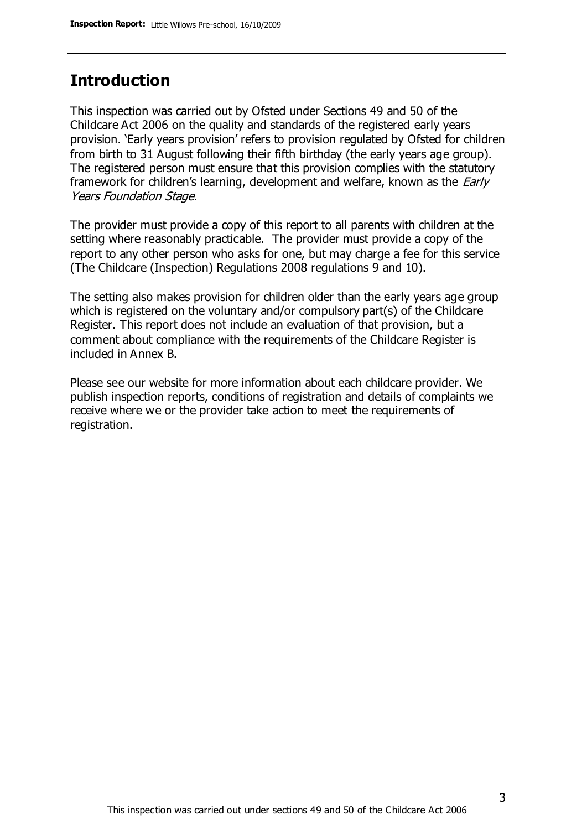# **Introduction**

This inspection was carried out by Ofsted under Sections 49 and 50 of the Childcare Act 2006 on the quality and standards of the registered early years provision. 'Early years provision' refers to provision regulated by Ofsted for children from birth to 31 August following their fifth birthday (the early years age group). The registered person must ensure that this provision complies with the statutory framework for children's learning, development and welfare, known as the *Early* Years Foundation Stage.

The provider must provide a copy of this report to all parents with children at the setting where reasonably practicable. The provider must provide a copy of the report to any other person who asks for one, but may charge a fee for this service (The Childcare (Inspection) Regulations 2008 regulations 9 and 10).

The setting also makes provision for children older than the early years age group which is registered on the voluntary and/or compulsory part(s) of the Childcare Register. This report does not include an evaluation of that provision, but a comment about compliance with the requirements of the Childcare Register is included in Annex B.

Please see our website for more information about each childcare provider. We publish inspection reports, conditions of registration and details of complaints we receive where we or the provider take action to meet the requirements of registration.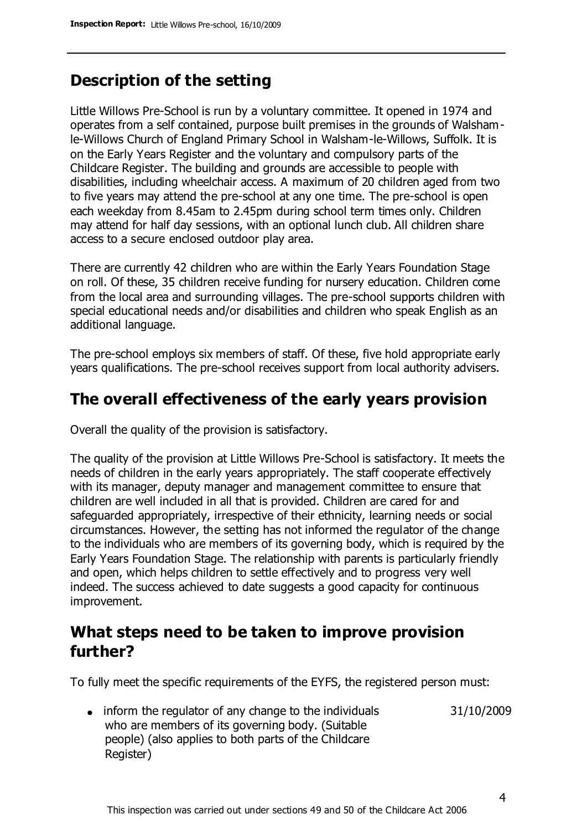# **Description of the setting**

Little Willows Pre-School is run by a voluntary committee. It opened in 1974 and operates from a self contained, purpose built premises in the grounds of Walshamle-Willows Church of England Primary School in Walsham-le-Willows, Suffolk. It is on the Early Years Register and the voluntary and compulsory parts of the Childcare Register. The building and grounds are accessible to people with disabilities, including wheelchair access. A maximum of 20 children aged from two to five years may attend the pre-school at any one time. The pre-school is open each weekday from 8.45am to 2.45pm during school term times only. Children may attend for half day sessions, with an optional lunch club. All children share access to a secure enclosed outdoor play area.

There are currently 42 children who are within the Early Years Foundation Stage on roll. Of these, 35 children receive funding for nursery education. Children come from the local area and surrounding villages. The pre-school supports children with special educational needs and/or disabilities and children who speak English as an additional language.

The pre-school employs six members of staff. Of these, five hold appropriate early years qualifications. The pre-school receives support from local authority advisers.

## **The overall effectiveness of the early years provision**

Overall the quality of the provision is satisfactory.

The quality of the provision at Little Willows Pre-School is satisfactory. It meets the needs of children in the early years appropriately. The staff cooperate effectively with its manager, deputy manager and management committee to ensure that children are well included in all that is provided. Children are cared for and safeguarded appropriately, irrespective of their ethnicity, learning needs or social circumstances. However, the setting has not informed the regulator of the change to the individuals who are members of its governing body, which is required by the Early Years Foundation Stage. The relationship with parents is particularly friendly and open, which helps children to settle effectively and to progress very well indeed. The success achieved to date suggests a good capacity for continuous improvement.

# **What steps need to be taken to improve provision further?**

To fully meet the specific requirements of the EYFS, the registered person must:

31/10/2009

• inform the regulator of any change to the individuals who are members of its governing body. (Suitable people) (also applies to both parts of the Childcare Register)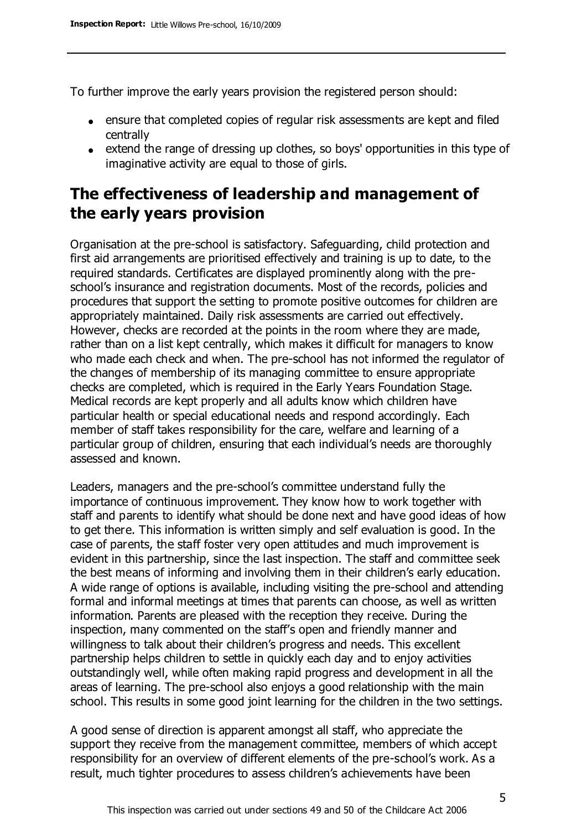To further improve the early years provision the registered person should:

- ensure that completed copies of regular risk assessments are kept and filed centrally
- extend the range of dressing up clothes, so boys' opportunities in this type of imaginative activity are equal to those of girls.

# **The effectiveness of leadership and management of the early years provision**

Organisation at the pre-school is satisfactory. Safeguarding, child protection and first aid arrangements are prioritised effectively and training is up to date, to the required standards. Certificates are displayed prominently along with the preschool's insurance and registration documents. Most of the records, policies and procedures that support the setting to promote positive outcomes for children are appropriately maintained. Daily risk assessments are carried out effectively. However, checks are recorded at the points in the room where they are made, rather than on a list kept centrally, which makes it difficult for managers to know who made each check and when. The pre-school has not informed the regulator of the changes of membership of its managing committee to ensure appropriate checks are completed, which is required in the Early Years Foundation Stage. Medical records are kept properly and all adults know which children have particular health or special educational needs and respond accordingly. Each member of staff takes responsibility for the care, welfare and learning of a particular group of children, ensuring that each individual's needs are thoroughly assessed and known.

Leaders, managers and the pre-school's committee understand fully the importance of continuous improvement. They know how to work together with staff and parents to identify what should be done next and have good ideas of how to get there. This information is written simply and self evaluation is good. In the case of parents, the staff foster very open attitudes and much improvement is evident in this partnership, since the last inspection. The staff and committee seek the best means of informing and involving them in their children's early education. A wide range of options is available, including visiting the pre-school and attending formal and informal meetings at times that parents can choose, as well as written information. Parents are pleased with the reception they receive. During the inspection, many commented on the staff's open and friendly manner and willingness to talk about their children's progress and needs. This excellent partnership helps children to settle in quickly each day and to enjoy activities outstandingly well, while often making rapid progress and development in all the areas of learning. The pre-school also enjoys a good relationship with the main school. This results in some good joint learning for the children in the two settings.

A good sense of direction is apparent amongst all staff, who appreciate the support they receive from the management committee, members of which accept responsibility for an overview of different elements of the pre-school's work. As a result, much tighter procedures to assess children's achievements have been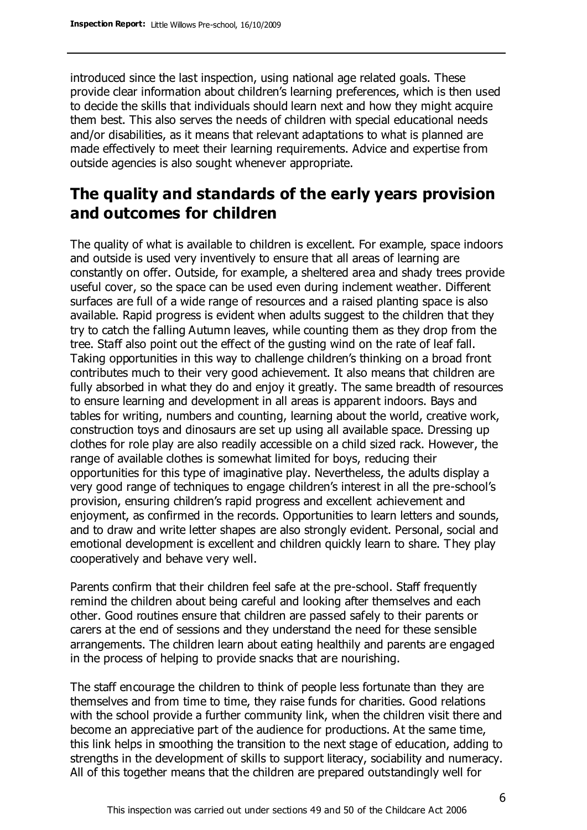introduced since the last inspection, using national age related goals. These provide clear information about children's learning preferences, which is then used to decide the skills that individuals should learn next and how they might acquire them best. This also serves the needs of children with special educational needs and/or disabilities, as it means that relevant adaptations to what is planned are made effectively to meet their learning requirements. Advice and expertise from outside agencies is also sought whenever appropriate.

# **The quality and standards of the early years provision and outcomes for children**

The quality of what is available to children is excellent. For example, space indoors and outside is used very inventively to ensure that all areas of learning are constantly on offer. Outside, for example, a sheltered area and shady trees provide useful cover, so the space can be used even during inclement weather. Different surfaces are full of a wide range of resources and a raised planting space is also available. Rapid progress is evident when adults suggest to the children that they try to catch the falling Autumn leaves, while counting them as they drop from the tree. Staff also point out the effect of the gusting wind on the rate of leaf fall. Taking opportunities in this way to challenge children's thinking on a broad front contributes much to their very good achievement. It also means that children are fully absorbed in what they do and enjoy it greatly. The same breadth of resources to ensure learning and development in all areas is apparent indoors. Bays and tables for writing, numbers and counting, learning about the world, creative work, construction toys and dinosaurs are set up using all available space. Dressing up clothes for role play are also readily accessible on a child sized rack. However, the range of available clothes is somewhat limited for boys, reducing their opportunities for this type of imaginative play. Nevertheless, the adults display a very good range of techniques to engage children's interest in all the pre-school's provision, ensuring children's rapid progress and excellent achievement and enjoyment, as confirmed in the records. Opportunities to learn letters and sounds, and to draw and write letter shapes are also strongly evident. Personal, social and emotional development is excellent and children quickly learn to share. They play cooperatively and behave very well.

Parents confirm that their children feel safe at the pre-school. Staff frequently remind the children about being careful and looking after themselves and each other. Good routines ensure that children are passed safely to their parents or carers at the end of sessions and they understand the need for these sensible arrangements. The children learn about eating healthily and parents are engaged in the process of helping to provide snacks that are nourishing.

The staff encourage the children to think of people less fortunate than they are themselves and from time to time, they raise funds for charities. Good relations with the school provide a further community link, when the children visit there and become an appreciative part of the audience for productions. At the same time, this link helps in smoothing the transition to the next stage of education, adding to strengths in the development of skills to support literacy, sociability and numeracy. All of this together means that the children are prepared outstandingly well for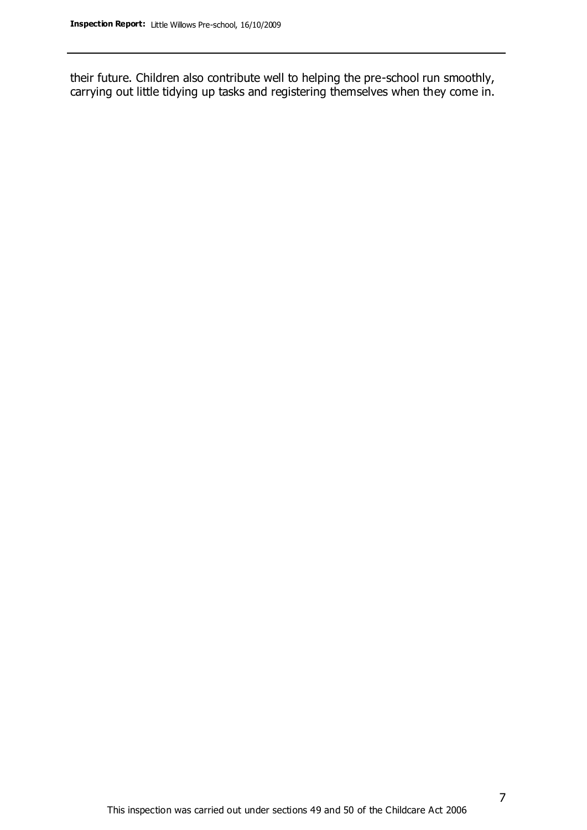their future. Children also contribute well to helping the pre-school run smoothly, carrying out little tidying up tasks and registering themselves when they come in.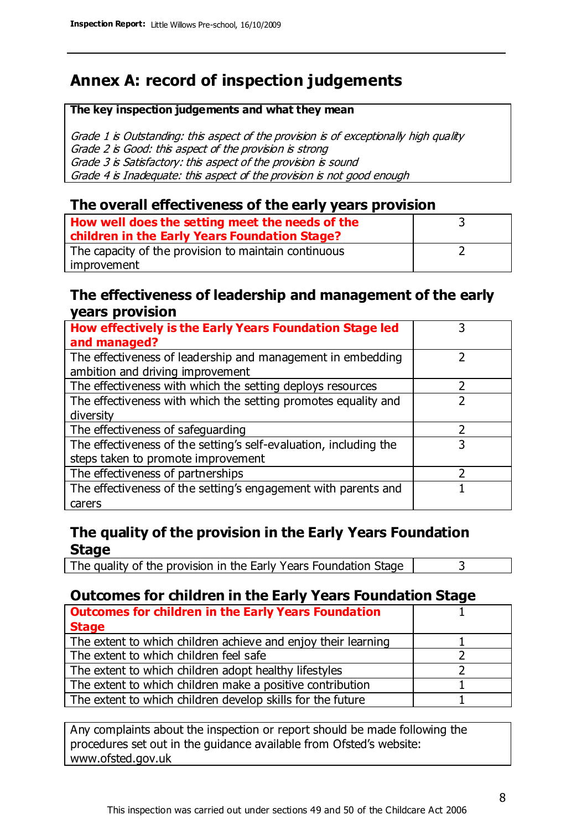# **Annex A: record of inspection judgements**

#### **The key inspection judgements and what they mean**

Grade 1 is Outstanding: this aspect of the provision is of exceptionally high quality Grade 2 is Good: this aspect of the provision is strong Grade 3 is Satisfactory: this aspect of the provision is sound Grade 4 is Inadequate: this aspect of the provision is not good enough

## **The overall effectiveness of the early years provision**

| How well does the setting meet the needs of the<br>children in the Early Years Foundation Stage? |  |
|--------------------------------------------------------------------------------------------------|--|
| The capacity of the provision to maintain continuous                                             |  |
| improvement                                                                                      |  |

## **The effectiveness of leadership and management of the early years provision**

| How effectively is the Early Years Foundation Stage led                                         |   |
|-------------------------------------------------------------------------------------------------|---|
| and managed?                                                                                    |   |
| The effectiveness of leadership and management in embedding<br>ambition and driving improvement |   |
| The effectiveness with which the setting deploys resources                                      |   |
| The effectiveness with which the setting promotes equality and                                  |   |
| diversity                                                                                       |   |
| The effectiveness of safeguarding                                                               | フ |
| The effectiveness of the setting's self-evaluation, including the                               | 3 |
| steps taken to promote improvement                                                              |   |
| The effectiveness of partnerships                                                               |   |
| The effectiveness of the setting's engagement with parents and                                  |   |
| carers                                                                                          |   |

## **The quality of the provision in the Early Years Foundation Stage**

The quality of the provision in the Early Years Foundation Stage  $\vert$  3

## **Outcomes for children in the Early Years Foundation Stage**

| <b>Outcomes for children in the Early Years Foundation</b>    |  |
|---------------------------------------------------------------|--|
| <b>Stage</b>                                                  |  |
| The extent to which children achieve and enjoy their learning |  |
| The extent to which children feel safe                        |  |
| The extent to which children adopt healthy lifestyles         |  |
| The extent to which children make a positive contribution     |  |
| The extent to which children develop skills for the future    |  |

Any complaints about the inspection or report should be made following the procedures set out in the guidance available from Ofsted's website: www.ofsted.gov.uk